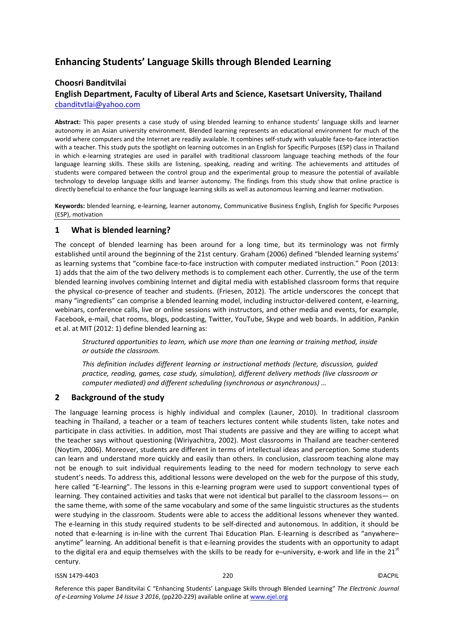# **Enhancing Students' Language Skills through Blended Learning**

# **Choosri Banditvilai**

# **English Department, Faculty of Liberal Arts and Science, Kasetsart University, Thailand** [cbanditvtlai@yahoo.com](mailto:cbanditvtlai@yahoo.com)

**Abstract:** This paper presents a case study of using blended learning to enhance students' language skills and learner autonomy in an Asian university environment. Blended learning represents an educational environment for much of the world where computers and the Internet are readily available. It combines self-study with valuable face-to-face interaction with a teacher. This study puts the spotlight on learning outcomes in an English for Specific Purposes (ESP) class in Thailand in which e-learning strategies are used in parallel with traditional classroom language teaching methods of the four language learning skills. These skills are listening, speaking, reading and writing. The achievements and attitudes of students were compared between the control group and the experimental group to measure the potential of available technology to develop language skills and learner autonomy. The findings from this study show that online practice is directly beneficial to enhance the four language learning skills as well as autonomous learning and learner motivation.

**Keywords:** blended learning, e-learning, learner autonomy, Communicative Business English, English for Specific Purposes (ESP), motivation

# **1 What is blended learning?**

The concept of blended learning has been around for a long time, but its terminology was not firmly established until around the beginning of the 21st century. Graham (2006) defined "blended learning systems' as learning systems that "combine face-to-face instruction with computer mediated instruction." Poon (2013: 1) adds that the aim of the two delivery methods is to complement each other. Currently, the use of the term blended learning involves combining Internet and digital media with established classroom forms that require the physical co-presence of teacher and students. (Friesen, 2012). The article underscores the concept that many "ingredients" can comprise a blended learning model, including instructor-delivered content, e-learning, webinars, conference calls, live or online sessions with instructors, and other media and events, for example, Facebook, e-mail, chat rooms, blogs, podcasting, Twitter, YouTube, Skype and web boards. In addition, Pankin et al. at MIT (2012: 1) define blended learning as:

*Structured opportunities to learn, which use more than one learning or training method, inside or outside the classroom.* 

*This definition includes different learning or instructional methods (lecture, discussion, guided practice, reading, games, case study, simulation), different delivery methods (live classroom or computer mediated) and different scheduling (synchronous or asynchronous) …* 

# **2 Background of the study**

The language learning process is highly individual and complex (Launer, 2010). In traditional classroom teaching in Thailand, a teacher or a team of teachers lectures content while students listen, take notes and participate in class activities. In addition, most Thai students are passive and they are willing to accept what the teacher says without questioning (Wiriyachitra, 2002). Most classrooms in Thailand are teacher-centered (Noytim, 2006). Moreover, students are different in terms of intellectual ideas and perception. Some students can learn and understand more quickly and easily than others. In conclusion, classroom teaching alone may not be enough to suit individual requirements leading to the need for modern technology to serve each student's needs. To address this, additional lessons were developed on the web for the purpose of this study, here called "E-learning". The lessons in this e-learning program were used to support conventional types of learning. They contained activities and tasks that were not identical but parallel to the classroom lessons— on the same theme, with some of the same vocabulary and some of the same linguistic structures as the students were studying in the classroom. Students were able to access the additional lessons whenever they wanted. The e-learning in this study required students to be self-directed and autonomous. In addition, it should be noted that e-learning is in-line with the current Thai Education Plan. E-learning is described as "anywhere– anytime" learning. An additional benefit is that e-learning provides the students with an opportunity to adapt to the digital era and equip themselves with the skills to be ready for e-university, e-work and life in the  $21<sup>st</sup>$ century.

ISSN 1479-4403 220 ©ACPIL

Reference this paper Banditvilai C "Enhancing Students' Language Skills through Blended Learning" *The Electronic Journal of e-Learning Volume 14 Issue 3 2016*, (pp220-229) available online at www.ejel.org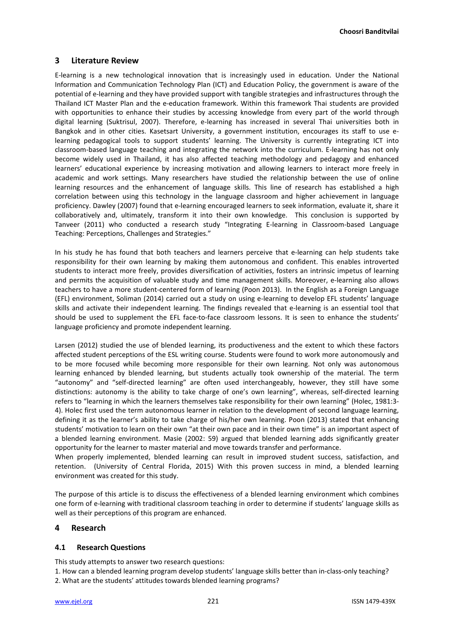**Choosri Banditvilai**

# **3 Literature Review**

E-learning is a new technological innovation that is increasingly used in education. Under the National Information and Communication Technology Plan (ICT) and Education Policy, the government is aware of the potential of e-learning and they have provided support with tangible strategies and infrastructures through the Thailand ICT Master Plan and the e-education framework. Within this framework Thai students are provided with opportunities to enhance their studies by accessing knowledge from every part of the world through digital learning (Suktrisul, 2007). Therefore, e-learning has increased in several Thai universities both in Bangkok and in other cities. Kasetsart University, a government institution, encourages its staff to use elearning pedagogical tools to support students' learning. The University is currently integrating ICT into classroom-based language teaching and integrating the network into the curriculum. E-learning has not only become widely used in Thailand, it has also affected teaching methodology and pedagogy and enhanced learners' educational experience by increasing motivation and allowing learners to interact more freely in academic and work settings. Many researchers have studied the relationship between the use of online learning resources and the enhancement of language skills. This line of research has established a high correlation between using this technology in the language classroom and higher achievement in language proficiency. Dawley (2007) found that e-learning encouraged learners to seek information, evaluate it, share it collaboratively and, ultimately, transform it into their own knowledge. This conclusion is supported by Tanveer (2011) who conducted a research study "Integrating E-learning in Classroom-based Language Teaching: Perceptions, Challenges and Strategies."

In his study he has found that both teachers and learners perceive that e-learning can help students take responsibility for their own learning by making them autonomous and confident. This enables introverted students to interact more freely, provides diversification of activities, fosters an intrinsic impetus of learning and permits the acquisition of valuable study and time management skills. Moreover, e-learning also allows teachers to have a more student-centered form of learning (Poon 2013). In the English as a Foreign Language (EFL) environment, Soliman (2014) carried out a study on using e-learning to develop EFL students' language skills and activate their independent learning. The findings revealed that e-learning is an essential tool that should be used to supplement the EFL face-to-face classroom lessons. It is seen to enhance the students' language proficiency and promote independent learning.

Larsen (2012) studied the use of blended learning, its productiveness and the extent to which these factors affected student perceptions of the ESL writing course. Students were found to work more autonomously and to be more focused while becoming more responsible for their own learning. Not only was autonomous learning enhanced by blended learning, but students actually took ownership of the material. The term "autonomy" and "self-directed learning" are often used interchangeably, however, they still have some distinctions: autonomy is the ability to take charge of one's own learning", whereas, self-directed learning refers to "learning in which the learners themselves take responsibility for their own learning" (Holec, 1981:3- 4). Holec first used the term autonomous learner in relation to the development of second language learning, defining it as the learner's ability to take charge of his/her own learning. Poon (2013) stated that enhancing students' motivation to learn on their own "at their own pace and in their own time" is an important aspect of a blended learning environment. Masie (2002: 59) argued that blended learning adds significantly greater opportunity for the learner to master material and move towards transfer and performance.

When properly implemented, blended learning can result in improved student success, satisfaction, and retention. (University of Central Florida, 2015) With this proven success in mind, a blended learning environment was created for this study.

The purpose of this article is to discuss the effectiveness of a blended learning environment which combines one form of e-learning with traditional classroom teaching in order to determine if students' language skills as well as their perceptions of this program are enhanced.

# **4 Research**

# **4.1 Research Questions**

This study attempts to answer two research questions:

1. How can a blended learning program develop students' language skills better than in-class-only teaching?

2. What are the students' attitudes towards blended learning programs?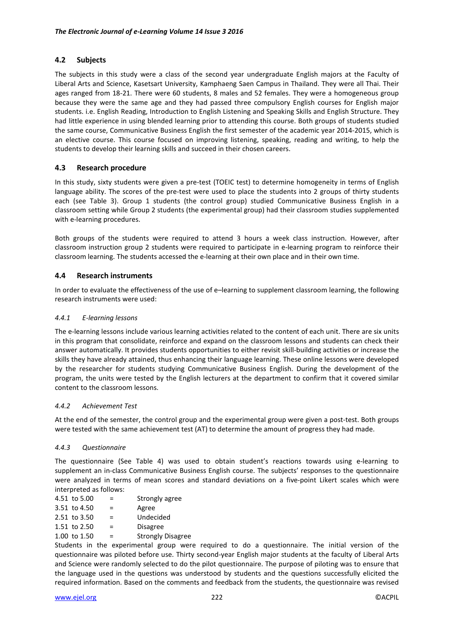# **4.2 Subjects**

The subjects in this study were a class of the second year undergraduate English majors at the Faculty of Liberal Arts and Science, Kasetsart University, Kamphaeng Saen Campus in Thailand. They were all Thai. Their ages ranged from 18-21. There were 60 students, 8 males and 52 females. They were a homogeneous group because they were the same age and they had passed three compulsory English courses for English major students. i.e. English Reading, Introduction to English Listening and Speaking Skills and English Structure. They had little experience in using blended learning prior to attending this course. Both groups of students studied the same course, Communicative Business English the first semester of the academic year 2014-2015, which is an elective course. This course focused on improving listening, speaking, reading and writing, to help the students to develop their learning skills and succeed in their chosen careers.

# **4.3 Research procedure**

In this study, sixty students were given a pre-test (TOEIC test) to determine homogeneity in terms of English language ability. The scores of the pre-test were used to place the students into 2 groups of thirty students each (see Table 3). Group 1 students (the control group) studied Communicative Business English in a classroom setting while Group 2 students (the experimental group) had their classroom studies supplemented with e-learning procedures.

Both groups of the students were required to attend 3 hours a week class instruction. However, after classroom instruction group 2 students were required to participate in e-learning program to reinforce their classroom learning. The students accessed the e-learning at their own place and in their own time.

# **4.4 Research instruments**

In order to evaluate the effectiveness of the use of e–learning to supplement classroom learning, the following research instruments were used:

# *4.4.1 E-learning lessons*

The e-learning lessons include various learning activities related to the content of each unit. There are six units in this program that consolidate, reinforce and expand on the classroom lessons and students can check their answer automatically. It provides students opportunities to either revisit skill-building activities or increase the skills they have already attained, thus enhancing their language learning. These online lessons were developed by the researcher for students studying Communicative Business English. During the development of the program, the units were tested by the English lecturers at the department to confirm that it covered similar content to the classroom lessons.

# *4.4.2 Achievement Test*

At the end of the semester, the control group and the experimental group were given a post-test. Both groups were tested with the same achievement test (AT) to determine the amount of progress they had made.

# *4.4.3 Questionnaire*

The questionnaire (See Table 4) was used to obtain student's reactions towards using e-learning to supplement an in-class Communicative Business English course. The subjects' responses to the questionnaire were analyzed in terms of mean scores and standard deviations on a five-point Likert scales which were interpreted as follows:

- 4.51 to 5.00  $=$  Strongly agree
- 3.51 to 4.50  $=$  Agree
- $2.51$  to  $3.50$  = Undecided
- 1.51 to  $2.50$  = Disagree
- 1.00 to 1.50 = Strongly Disagree

Students in the experimental group were required to do a questionnaire. The initial version of the questionnaire was piloted before use. Thirty second-year English major students at the faculty of Liberal Arts and Science were randomly selected to do the pilot questionnaire. The purpose of piloting was to ensure that the language used in the questions was understood by students and the questions successfully elicited the required information. Based on the comments and feedback from the students, the questionnaire was revised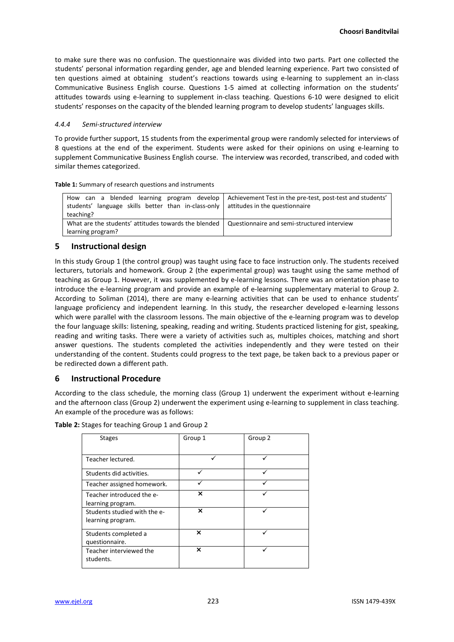to make sure there was no confusion. The questionnaire was divided into two parts. Part one collected the students' personal information regarding gender, age and blended learning experience. Part two consisted of ten questions aimed at obtaining student's reactions towards using e-learning to supplement an in-class Communicative Business English course. Questions 1-5 aimed at collecting information on the students' attitudes towards using e-learning to supplement in-class teaching. Questions 6-10 were designed to elicit students' responses on the capacity of the blended learning program to develop students' languages skills.

### *4.4.4 Semi-structured interview*

To provide further support, 15 students from the experimental group were randomly selected for interviews of 8 questions at the end of the experiment. Students were asked for their opinions on using e-learning to supplement Communicative Business English course. The interview was recorded, transcribed, and coded with similar themes categorized.

**Table 1:** Summary of research questions and instruments

| can a blended learning program develop<br>How<br>students' language skills better than in-class-only   attitudes in the questionnaire<br>teaching? | Achievement Test in the pre-test, post-test and students' |
|----------------------------------------------------------------------------------------------------------------------------------------------------|-----------------------------------------------------------|
| What are the students' attitudes towards the blended<br>learning program?                                                                          | Questionnaire and semi-structured interview               |

# **5 Instructional design**

In this study Group 1 (the control group) was taught using face to face instruction only. The students received lecturers, tutorials and homework. Group 2 (the experimental group) was taught using the same method of teaching as Group 1. However, it was supplemented by e-learning lessons. There was an orientation phase to introduce the e-learning program and provide an example of e-learning supplementary material to Group 2. According to Soliman (2014), there are many e-learning activities that can be used to enhance students' language proficiency and independent learning. In this study, the researcher developed e-learning lessons which were parallel with the classroom lessons. The main objective of the e-learning program was to develop the four language skills: listening, speaking, reading and writing. Students practiced listening for gist, speaking, reading and writing tasks. There were a variety of activities such as, multiples choices, matching and short answer questions. The students completed the activities independently and they were tested on their understanding of the content. Students could progress to the text page, be taken back to a previous paper or be redirected down a different path.

# **6 Instructional Procedure**

According to the class schedule, the morning class (Group 1) underwent the experiment without e-learning and the afternoon class (Group 2) underwent the experiment using e-learning to supplement in class teaching. An example of the procedure was as follows:

| Table 2: Stages for teaching Group 1 and Group 2 |
|--------------------------------------------------|
|--------------------------------------------------|

| <b>Stages</b>                | Group 1 | Group 2 |
|------------------------------|---------|---------|
|                              |         |         |
| Teacher lectured.            |         |         |
| Students did activities.     | ✓       | ✓       |
| Teacher assigned homework.   |         |         |
| Teacher introduced the e-    | ×       |         |
| learning program.            |         |         |
| Students studied with the e- | ×       |         |
| learning program.            |         |         |
| Students completed a         | ×       |         |
| questionnaire.               |         |         |
| Teacher interviewed the      | ×       |         |
| students.                    |         |         |
|                              |         |         |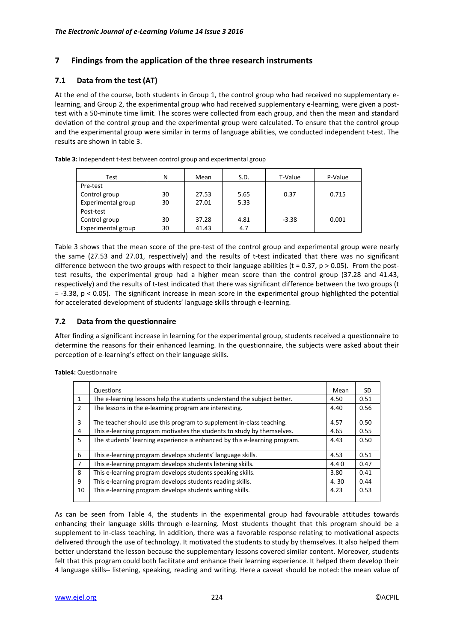# **7 Findings from the application of the three research instruments**

# **7.1 Data from the test (AT)**

At the end of the course, both students in Group 1, the control group who had received no supplementary elearning, and Group 2, the experimental group who had received supplementary e-learning, were given a posttest with a 50-minute time limit. The scores were collected from each group, and then the mean and standard deviation of the control group and the experimental group were calculated. To ensure that the control group and the experimental group were similar in terms of language abilities, we conducted independent t-test. The results are shown in table 3.

| Test               | N  | Mean  | S.D. | T-Value | P-Value |  |
|--------------------|----|-------|------|---------|---------|--|
| Pre-test           |    |       |      |         |         |  |
| Control group      | 30 | 27.53 | 5.65 | 0.37    | 0.715   |  |
| Experimental group | 30 | 27.01 | 5.33 |         |         |  |
| Post-test          |    |       |      |         |         |  |
| Control group      | 30 | 37.28 | 4.81 | $-3.38$ | 0.001   |  |
| Experimental group | 30 | 41.43 | 4.7  |         |         |  |

**Table 3:** Independent t-test between control group and experimental group

Table 3 shows that the mean score of the pre-test of the control group and experimental group were nearly the same (27.53 and 27.01, respectively) and the results of t-test indicated that there was no significant difference between the two groups with respect to their language abilities ( $t = 0.37$ ,  $p > 0.05$ ). From the posttest results, the experimental group had a higher mean score than the control group (37.28 and 41.43, respectively) and the results of t-test indicated that there was significant difference between the two groups (t = -3.38, p < 0.05). The significant increase in mean score in the experimental group highlighted the potential for accelerated development of students' language skills through e-learning.

# **7.2 Data from the questionnaire**

After finding a significant increase in learning for the experimental group, students received a questionnaire to determine the reasons for their enhanced learning. In the questionnaire, the subjects were asked about their perception of e-learning's effect on their language skills.

| <b>Table4: Questionnaire</b> |
|------------------------------|
|------------------------------|

|               | Questions                                                                 | Mean | SD.  |
|---------------|---------------------------------------------------------------------------|------|------|
| 1             | The e-learning lessons help the students understand the subject better.   | 4.50 | 0.51 |
| $\mathcal{P}$ | The lessons in the e-learning program are interesting.                    | 4.40 | 0.56 |
| 3             | The teacher should use this program to supplement in-class teaching.      | 4.57 | 0.50 |
| 4             | This e-learning program motivates the students to study by themselves.    | 4.65 | 0.55 |
| 5             | The students' learning experience is enhanced by this e-learning program. | 4.43 | 0.50 |
| 6             | This e-learning program develops students' language skills.               | 4.53 | 0.51 |
| 7             | This e-learning program develops students listening skills.               | 4.40 | 0.47 |
| 8             | This e-learning program develops students speaking skills.                | 3.80 | 0.41 |
| 9             | This e-learning program develops students reading skills.                 | 4.30 | 0.44 |
| 10            | This e-learning program develops students writing skills.                 | 4.23 | 0.53 |

As can be seen from Table 4, the students in the experimental group had favourable attitudes towards enhancing their language skills through e-learning. Most students thought that this program should be a supplement to in-class teaching. In addition, there was a favorable response relating to motivational aspects delivered through the use of technology. It motivated the students to study by themselves. It also helped them better understand the lesson because the supplementary lessons covered similar content. Moreover, students felt that this program could both facilitate and enhance their learning experience. It helped them develop their 4 language skills- listening, speaking, reading and writing. Here a caveat should be noted: the mean value of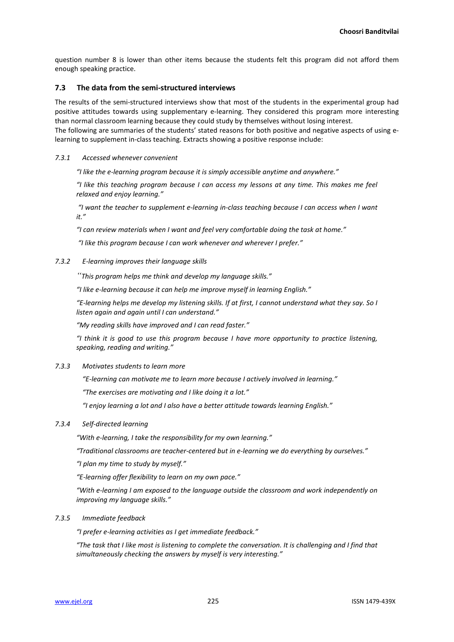question number 8 is lower than other items because the students felt this program did not afford them enough speaking practice.

### **7.3 The data from the semi-structured interviews**

The results of the semi-structured interviews show that most of the students in the experimental group had positive attitudes towards using supplementary e-learning. They considered this program more interesting than normal classroom learning because they could study by themselves without losing interest.

The following are summaries of the students' stated reasons for both positive and negative aspects of using elearning to supplement in-class teaching. Extracts showing a positive response include:

#### *7.3.1 Accessed whenever convenient*

*"I like the e-learning program because it is simply accessible anytime and anywhere."*

*"I like this teaching program because I can access my lessons at any time. This makes me feel relaxed and enjoy learning."* 

*"I want the teacher to supplement e-learning in-class teaching because I can access when I want it."*

*"I can review materials when I want and feel very comfortable doing the task at home."*

*"I like this program because I can work whenever and wherever I prefer."*

#### *7.3.2 E-learning improves their language skills*

*"This program helps me think and develop my language skills."* 

*"I like e-learning because it can help me improve myself in learning English."* 

*"E-learning helps me develop my listening skills. If at first, I cannot understand what they say. So I listen again and again until I can understand."*

*"My reading skills have improved and I can read faster."*

*"I think it is good to use this program because I have more opportunity to practice listening, speaking, reading and writing."*

### *7.3.3 Motivates students to learn more*

*"E-learning can motivate me to learn more because I actively involved in learning."*

*"The exercises are motivating and I like doing it a lot."*

*"I enjoy learning a lot and I also have a better attitude towards learning English."*

### *7.3.4 Self-directed learning*

*"With e-learning, I take the responsibility for my own learning."* 

*"Traditional classrooms are teacher-centered but in e-learning we do everything by ourselves."* 

*"I plan my time to study by myself."*

*"E-learning offer flexibility to learn on my own pace."*

*"With e-learning I am exposed to the language outside the classroom and work independently on improving my language skills."*

#### *7.3.5 Immediate feedback*

*"I prefer e-learning activities as I get immediate feedback."*

*"The task that I like most is listening to complete the conversation. It is challenging and I find that simultaneously checking the answers by myself is very interesting."*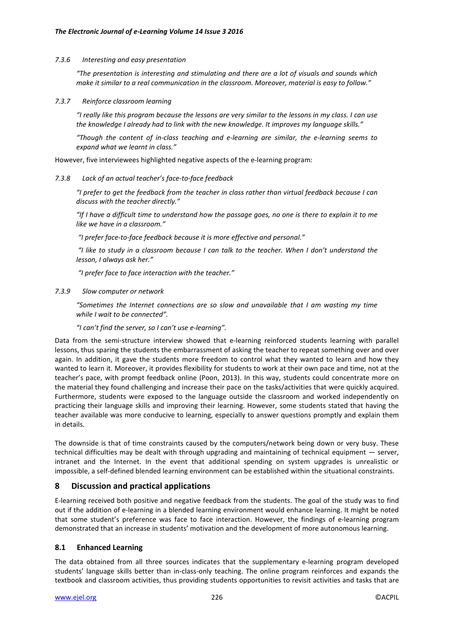### *7.3.6 Interesting and easy presentation*

*"The presentation is interesting and stimulating and there are a lot of visuals and sounds which make it similar to a real communication in the classroom. Moreover, material is easy to follow."* 

### *7.3.7 Reinforce classroom learning*

*"I really like this program because the lessons are very similar to the lessons in my class. I can use the knowledge I already had to link with the new knowledge. It improves my language skills."* 

*"Though the content of in-class teaching and e-learning are similar, the e-learning seems to expand what we learnt in class."*

However, five interviewees highlighted negative aspects of the e-learning program:

# *7.3.8 Lack of an actual teacher's face-to-face feedback*

*"I prefer to get the feedback from the teacher in class rather than virtual feedback because I can discuss with the teacher directly."*

*"If I have a difficult time to understand how the passage goes, no one is there to explain it to me like we have in a classroom."*

*"I prefer face-to-face feedback because it is more effective and personal."* 

*"I like to study in a classroom because I can talk to the teacher. When I don't understand the lesson, I always ask her."*

*"I prefer face to face interaction with the teacher."*

*7.3.9 Slow computer or network* 

*"Sometimes the Internet connections are so slow and unavailable that I am wasting my time while I wait to be connected".*

*"I can't find the server, so I can't use e-learning".*

Data from the semi-structure interview showed that e-learning reinforced students learning with parallel lessons, thus sparing the students the embarrassment of asking the teacher to repeat something over and over again. In addition, it gave the students more freedom to control what they wanted to learn and how they wanted to learn it. Moreover, it provides flexibility for students to work at their own pace and time, not at the teacher's pace, with prompt feedback online (Poon, 2013). In this way, students could concentrate more on the material they found challenging and increase their pace on the tasks/activities that were quickly acquired. Furthermore, students were exposed to the language outside the classroom and worked independently on practicing their language skills and improving their learning. However, some students stated that having the teacher available was more conducive to learning, especially to answer questions promptly and explain them in details.

The downside is that of time constraints caused by the computers/network being down or very busy. These technical difficulties may be dealt with through upgrading and maintaining of technical equipment — server, intranet and the Internet. In the event that additional spending on system upgrades is unrealistic or impossible, a self-defined blended learning environment can be established within the situational constraints.

# **8 Discussion and practical applications**

E-learning received both positive and negative feedback from the students. The goal of the study was to find out if the addition of e-learning in a blended learning environment would enhance learning. It might be noted that some student's preference was face to face interaction. However, the findings of e-learning program demonstrated that an increase in students' motivation and the development of more autonomous learning.

# **8.1 Enhanced Learning**

The data obtained from all three sources indicates that the supplementary e-learning program developed students' language skills better than in-class-only teaching. The online program reinforces and expands the textbook and classroom activities, thus providing students opportunities to revisit activities and tasks that are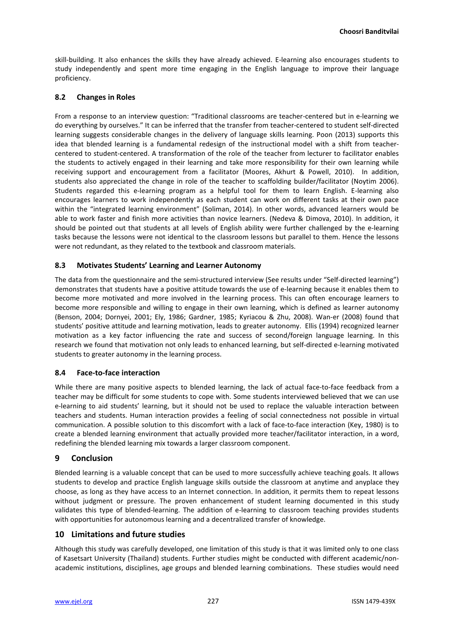skill-building. It also enhances the skills they have already achieved. E-learning also encourages students to study independently and spent more time engaging in the English language to improve their language proficiency.

# **8.2 Changes in Roles**

From a response to an interview question: "Traditional classrooms are teacher-centered but in e-learning we do everything by ourselves." It can be inferred that the transfer from teacher-centered to student self-directed learning suggests considerable changes in the delivery of language skills learning. Poon (2013) supports this idea that blended learning is a fundamental redesign of the instructional model with a shift from teachercentered to student-centered. A transformation of the role of the teacher from lecturer to facilitator enables the students to actively engaged in their learning and take more responsibility for their own learning while receiving support and encouragement from a facilitator (Moores, Akhurt & Powell, 2010). In addition, students also appreciated the change in role of the teacher to scaffolding builder/facilitator (Noytim 2006). Students regarded this e-learning program as a helpful tool for them to learn English. E-learning also encourages learners to work independently as each student can work on different tasks at their own pace within the "integrated learning environment" (Soliman, 2014). In other words, advanced learners would be able to work faster and finish more activities than novice learners. (Nedeva & Dimova, 2010). In addition, it should be pointed out that students at all levels of English ability were further challenged by the e-learning tasks because the lessons were not identical to the classroom lessons but parallel to them. Hence the lessons were not redundant, as they related to the textbook and classroom materials.

### **8.3 Motivates Students' Learning and Learner Autonomy**

The data from the questionnaire and the semi-structured interview (See results under "Self-directed learning") demonstrates that students have a positive attitude towards the use of e-learning because it enables them to become more motivated and more involved in the learning process. This can often encourage learners to become more responsible and willing to engage in their own learning, which is defined as learner autonomy (Benson, 2004; Dornyei, 2001; Ely, 1986; Gardner, 1985; Kyriacou & Zhu, 2008). Wan-er (2008) found that students' positive attitude and learning motivation, leads to greater autonomy. Ellis (1994) recognized learner motivation as a key factor influencing the rate and success of second/foreign language learning. In this research we found that motivation not only leads to enhanced learning, but self-directed e-learning motivated students to greater autonomy in the learning process.

# **8.4 Face-to-face interaction**

While there are many positive aspects to blended learning, the lack of actual face-to-face feedback from a teacher may be difficult for some students to cope with. Some students interviewed believed that we can use e-learning to aid students' learning, but it should not be used to replace the valuable interaction between teachers and students. Human interaction provides a feeling of social connectedness not possible in virtual communication. A possible solution to this discomfort with a lack of face-to-face interaction (Key, 1980) is to create a blended learning environment that actually provided more teacher/facilitator interaction, in a word, redefining the blended learning mix towards a larger classroom component.

# **9 Conclusion**

Blended learning is a valuable concept that can be used to more successfully achieve teaching goals. It allows students to develop and practice English language skills outside the classroom at anytime and anyplace they choose, as long as they have access to an Internet connection. In addition, it permits them to repeat lessons without judgment or pressure. The proven enhancement of student learning documented in this study validates this type of blended-learning. The addition of e-learning to classroom teaching provides students with opportunities for autonomous learning and a decentralized transfer of knowledge.

# **10 Limitations and future studies**

Although this study was carefully developed, one limitation of this study is that it was limited only to one class of Kasetsart University (Thailand) students. Further studies might be conducted with different academic/nonacademic institutions, disciplines, age groups and blended learning combinations. These studies would need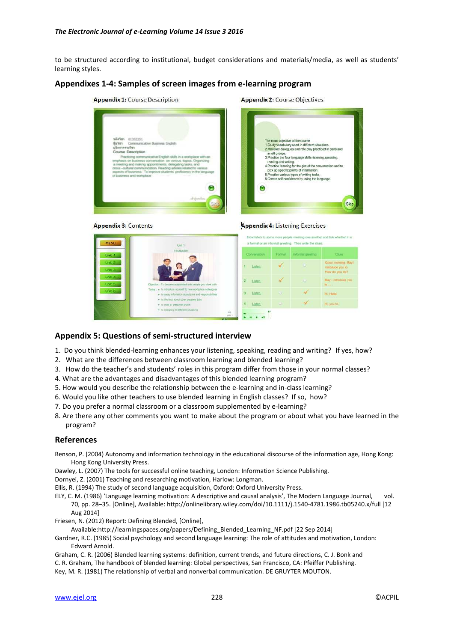to be structured according to institutional, budget considerations and materials/media, as well as students' learning styles.

# **Appendixes 1-4: Samples of screen images from e-learning program**

**Appendix 1:** Course Description **Appendix 2: Course Objectives** The main chiective of the co The main objective of the course<br>1. Study vocabulary used in different situations.<br>2. Modeled dialogues and role play practiced in small groups.<br>
3 Practice the four language skills-listening speaking ding and writing 4. Practice listening for the gist of the compick up specific points of infor-5. Practice various types of writing tasks.<br>6. Create self-confidence by using the langua Skir

#### **Appendix 3: Contents**



# **Appendix 5: Questions of semi-structured interview**

- 1. Do you think blended-learning enhances your listening, speaking, reading and writing? If yes, how?
- 2. What are the differences between classroom learning and blended learning?
- 3. How do the teacher's and students' roles in this program differ from those in your normal classes?
- 4. What are the advantages and disadvantages of this blended learning program?
- 5. How would you describe the relationship between the e-learning and in-class learning?
- 6. Would you like other teachers to use blended learning in English classes? If so, how?
- 7. Do you prefer a normal classroom or a classroom supplemented by e-learning?
- 8. Are there any other comments you want to make about the program or about what you have learned in the program?

#### **References**

- Benson, P. (2004) Autonomy and information technology in the educational discourse of the information age, Hong Kong: Hong Kong University Press.
- Dawley, L. (2007) The tools for successful online teaching, London: Information Science Publishing.
- Dornyei, Z. (2001) Teaching and researching motivation, Harlow: Longman.

Ellis, R. (1994) The study of second language acquisition, Oxford: Oxford University Press.

ELY, C. M. (1986) 'Language learning motivation: A descriptive and causal analysis', The Modern Language Journal, vol. 70, pp. 28–35. [Online], Available: http://onlinelibrary.wiley.com/doi/10.1111/j.1540-4781.1986.tb05240.x/full [12 Aug 2014]

Friesen, N. (2012) Report: Defining Blended, [Online],

Available:http://learningspaces.org/papers/Defining\_Blended\_Learning\_NF.pdf [22 Sep 2014]

Gardner, R.C. (1985) Social psychology and second language learning: The role of attitudes and motivation, London: Edward Arnold.

Graham, C. R. (2006) Blended learning systems: definition, current trends, and future directions, C. J. Bonk and C. R. Graham, The handbook of blended learning: Global perspectives, San Francisco, CA: Pfeiffer Publishing. Key, M. R. (1981) The relationship of verbal and nonverbal communication. DE GRUYTER MOUTON.